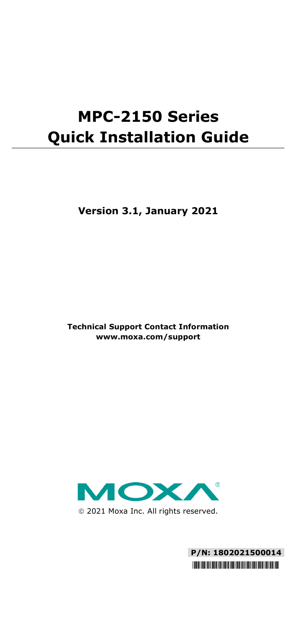# **MPC-2150 Series Quick Installation Guide**

**Version 3.1, January 2021**

**Technical Support Contact Information www.moxa.com/support**



2021 Moxa Inc. All rights reserved.

**P/N: 1802021500014** \*1802021500014\*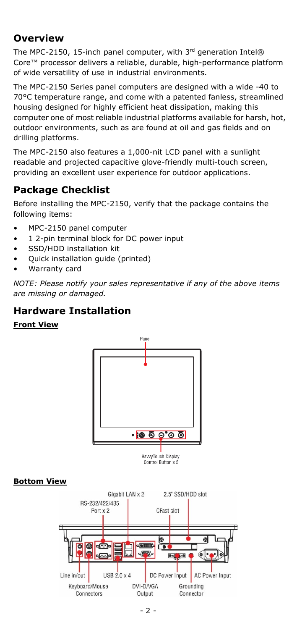## **Overview**

The MPC-2150, 15-inch panel computer, with  $3<sup>rd</sup>$  generation Intel® Core™ processor delivers a reliable, durable, high-performance platform of wide versatility of use in industrial environments.

The MPC-2150 Series panel computers are designed with a wide -40 to 70°C temperature range, and come with a patented fanless, streamlined housing designed for highly efficient heat dissipation, making this computer one of most reliable industrial platforms available for harsh, hot, outdoor environments, such as are found at oil and gas fields and on drilling platforms.

The MPC-2150 also features a 1,000-nit LCD panel with a sunlight readable and projected capacitive glove-friendly multi-touch screen, providing an excellent user experience for outdoor applications.

# **Package Checklist**

Before installing the MPC-2150, verify that the package contains the following items:

- MPC-2150 panel computer
- 1 2-pin terminal block for DC power input
- SSD/HDD installation kit
- Quick installation guide (printed)
- Warranty card

*NOTE: Please notify your sales representative if any of the above items are missing or damaged.*

## **Hardware Installation**

#### **Front View**



#### **Bottom View**

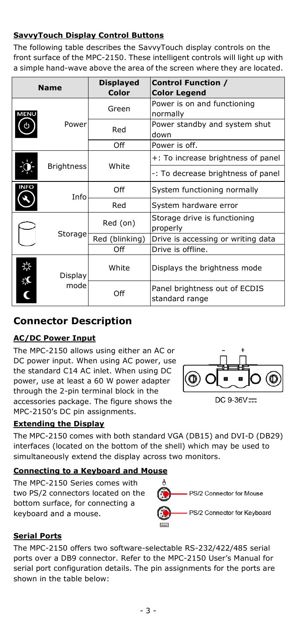#### **SavvyTouch Display Control Buttons**

The following table describes the SavvyTouch display controls on the front surface of the MPC-2150. These intelligent controls will light up with a simple hand-wave above the area of the screen where they are located.

| <b>Name</b> |                        | <b>Displayed</b><br>Color | <b>Control Function /</b><br><b>Color Legend</b> |
|-------------|------------------------|---------------------------|--------------------------------------------------|
| MENL        | Power                  | Green                     | Power is on and functioning<br>normally          |
|             |                        | Red                       | Power standby and system shut<br>down            |
|             |                        | Off                       | Power is off.                                    |
|             | <b>Brightness</b>      | White                     | +: To increase brightness of panel               |
|             |                        |                           | -: To decrease brightness of panel               |
| <b>INFO</b> | Info                   | Off                       | System functioning normally                      |
|             |                        | Red                       | System hardware error                            |
|             | Storage                | Red (on)                  | Storage drive is functioning<br>properly         |
|             |                        | Red (blinking)            | Drive is accessing or writing data               |
|             |                        | Off                       | Drive is offline.                                |
| Ò.          | <b>Display</b><br>mode | White                     | Displays the brightness mode                     |
|             |                        | Off                       | Panel brightness out of ECDIS<br>standard range  |

## **Connector Description**

#### **AC/DC Power Input**

The MPC-2150 allows using either an AC or DC power input. When using AC power, use the standard C14 AC inlet. When using DC power, use at least a 60 W power adapter through the 2-pin terminal block in the accessories package. The figure shows the MPC-2150's DC pin assignments.

#### **Extending the Display**

The MPC-2150 comes with both standard VGA (DB15) and DVI-D (DB29) interfaces (located on the bottom of the shell) which may be used to simultaneously extend the display across two monitors.

#### **Connecting to a Keyboard and Mouse**

The MPC-2150 Series comes with two PS/2 connectors located on the bottom surface, for connecting a keyboard and a mouse.



#### **Serial Ports**

The MPC-2150 offers two software-selectable RS-232/422/485 serial ports over a DB9 connector. Refer to the MPC-2150 User's Manual for serial port configuration details. The pin assignments for the ports are shown in the table below:



 $DC.9 - 36V =$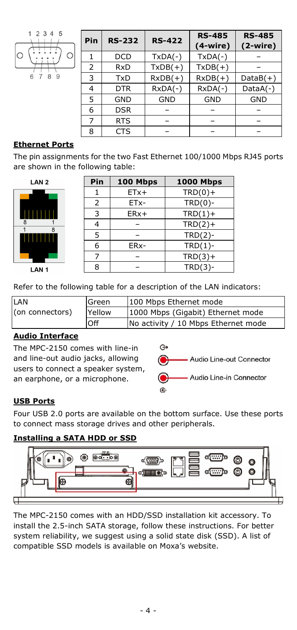

| Pin | <b>RS-232</b> | <b>RS-422</b> | <b>RS-485</b><br>$(4-wire)$ | <b>RS-485</b><br>$(2-wire)$ |
|-----|---------------|---------------|-----------------------------|-----------------------------|
|     | DCD           | $TxDA(-)$     | $TxDA(-)$                   |                             |
| 2   | <b>RxD</b>    | $TxDB(+)$     | $TxDB(+)$                   |                             |
| 3   | <b>TxD</b>    | $RxDB(+)$     | $RxDB(+)$                   | $DataB(+)$                  |
| 4   | <b>DTR</b>    | $RxDA(-)$     | $RxDA(-)$                   | $DataA(-)$                  |
| 5   | <b>GND</b>    | <b>GND</b>    | <b>GND</b>                  | <b>GND</b>                  |
| 6   | <b>DSR</b>    |               |                             |                             |
|     | <b>RTS</b>    |               |                             |                             |
| 8   | CTS           |               |                             |                             |

#### **Ethernet Ports**

The pin assignments for the two Fast Ethernet 100/1000 Mbps RJ45 ports are shown in the following table:

| LAN <sub>2</sub>    |             |
|---------------------|-------------|
|                     |             |
| ŋ<br>$\overline{8}$ | ı<br>г<br>1 |
|                     | 8           |
| ا ا                 |             |

I AN 1

| Pin            | 100 Mbps | <b>1000 Mbps</b> |
|----------------|----------|------------------|
| 1              | $ETx+$   | $TRD(0) +$       |
| 2              | ETx-     | $TRD(0)$ -       |
| 3              | $ERx+$   | $TRD(1) +$       |
| $\overline{4}$ |          | $TRD(2) +$       |
| 5              |          | $TRD(2)-$        |
| 6              | ERx-     | $TRD(1)$ -       |
| 7              |          | $TRD(3) +$       |
| 8              |          | $TRD(3)-$        |

Refer to the following table for a description of the LAN indicators:

| LAN             | Green  | 100 Mbps Ethernet mode              |
|-----------------|--------|-------------------------------------|
| (on connectors) | Yellow | 1000 Mbps (Gigabit) Ethernet mode   |
|                 | .Off   | No activity / 10 Mbps Ethernet mode |

#### **Audio Interface**

The MPC-2150 comes with line-in and line-out audio jacks, allowing users to connect a speaker system, an earphone, or a microphone.



#### **USB Ports**

Four USB 2.0 ports are available on the bottom surface. Use these ports to connect mass storage drives and other peripherals.

#### **Installing a SATA HDD or SSD**



The MPC-2150 comes with an HDD/SSD installation kit accessory. To install the 2.5-inch SATA storage, follow these instructions. For better system reliability, we suggest using a solid state disk (SSD). A list of compatible SSD models is available on Moxa's website.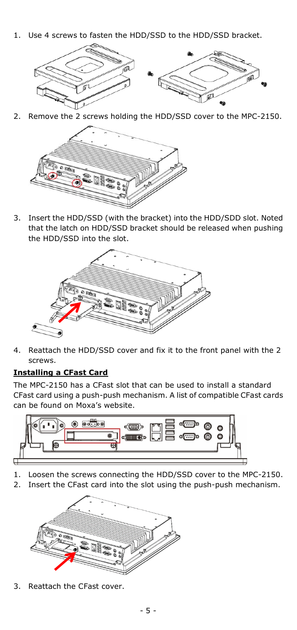1. Use 4 screws to fasten the HDD/SSD to the HDD/SSD bracket.



2. Remove the 2 screws holding the HDD/SSD cover to the MPC-2150.



3. Insert the HDD/SSD (with the bracket) into the HDD/SDD slot. Noted that the latch on HDD/SSD bracket should be released when pushing the HDD/SSD into the slot.



4. Reattach the HDD/SSD cover and fix it to the front panel with the 2 screws.

#### **Installing a CFast Card**

The MPC-2150 has a CFast slot that can be used to install a standard CFast card using a push-push mechanism. A list of compatible CFast cards can be found on Moxa's website.



- 1. Loosen the screws connecting the HDD/SSD cover to the MPC-2150.
- 2. Insert the CFast card into the slot using the push-push mechanism.



3. Reattach the CFast cover.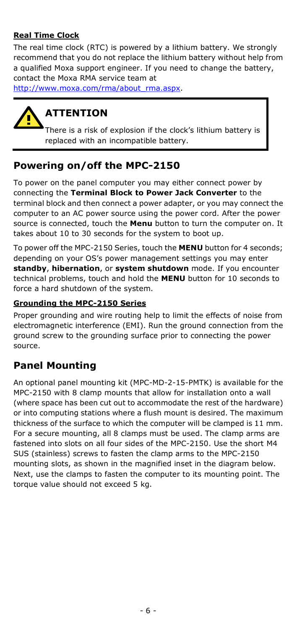#### **Real Time Clock**

The real time clock (RTC) is powered by a lithium battery. We strongly recommend that you do not replace the lithium battery without help from a qualified Moxa support engineer. If you need to change the battery, contact the Moxa RMA service team at

[http://www.moxa.com/rma/about\\_rma.aspx.](http://www.moxa.com/rma/about_rma.aspx)



# **ATTENTION**

There is a risk of explosion if the clock's lithium battery is replaced with an incompatible battery.

## **Powering on/off the MPC-2150**

To power on the panel computer you may either connect power by connecting the **Terminal Block to Power Jack Converter** to the terminal block and then connect a power adapter, or you may connect the computer to an AC power source using the power cord. After the power source is connected, touch the **Menu** button to turn the computer on. It takes about 10 to 30 seconds for the system to boot up.

To power off the MPC-2150 Series, touch the **MENU** button for 4 seconds; depending on your OS's power management settings you may enter **standby**, **hibernation**, or **system shutdown** mode. If you encounter technical problems, touch and hold the **MENU** button for 10 seconds to force a hard shutdown of the system.

#### **Grounding the MPC-2150 Series**

Proper grounding and wire routing help to limit the effects of noise from electromagnetic interference (EMI). Run the ground connection from the ground screw to the grounding surface prior to connecting the power source.

## **Panel Mounting**

An optional panel mounting kit (MPC-MD-2-15-PMTK) is available for the MPC-2150 with 8 clamp mounts that allow for installation onto a wall (where space has been cut out to accommodate the rest of the hardware) or into computing stations where a flush mount is desired. The maximum thickness of the surface to which the computer will be clamped is 11 mm. For a secure mounting, all 8 clamps must be used. The clamp arms are fastened into slots on all four sides of the MPC-2150. Use the short M4 SUS (stainless) screws to fasten the clamp arms to the MPC-2150 mounting slots, as shown in the magnified inset in the diagram below. Next, use the clamps to fasten the computer to its mounting point. The torque value should not exceed 5 kg.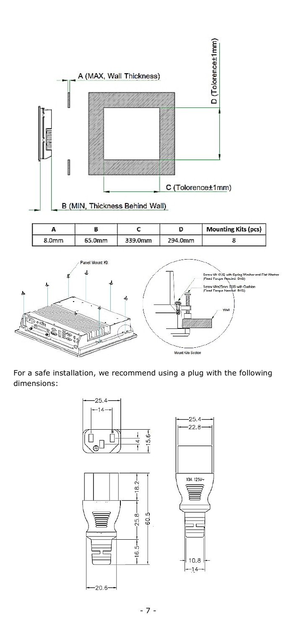

For a safe installation, we recommend using a plug with the following dimensions: